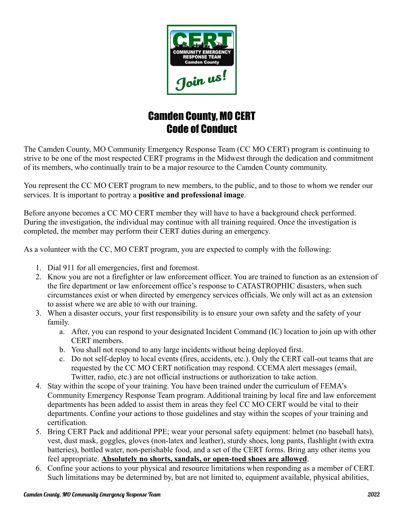

## Camden County, MO CERT Code of Conduct

The Camden County, MO Community Emergency Response Team (CC MO CERT) program is continuing to strive to be one of the most respected CERT programs in the Midwest through the dedication and commitment of its members, who continually train to be a major resource to the Camden County community.

You represent the CC MO CERT program to new members, to the public, and to those to whom we render our services. It is important to portray a **positive and professional image**.

Before anyone becomes a CC MO CERT member they will have to have a background check performed. During the investigation, the individual may continue with all training required. Once the investigation is completed, the member may perform their CERT duties during an emergency.

As a volunteer with the CC, MO CERT program, you are expected to comply with the following:

- 1. Dial 911 for all emergencies, first and foremost.
- 2. Know you are not a firefighter or law enforcement officer. You are trained to function as an extension of the fire department or law enforcement office's response to CATASTROPHIC disasters, when such circumstances exist or when directed by emergency services officials. We only will act as an extension to assist where we are able to with our training.
- 3. When a disaster occurs, your first responsibility is to ensure your own safety and the safety of your family.
	- a. After, you can respond to your designated Incident Command (IC) location to join up with other CERT members.
	- b. You shall not respond to any large incidents without being deployed first.
	- c. Do not self-deploy to local events (fires, accidents, etc.). Only the CERT call-out teams that are requested by the CC MO CERT notification may respond. CCEMA alert messages (email, Twitter, radio, etc.) are not official instructions or authorization to take action.
- 4. Stay within the scope of your training. You have been trained under the curriculum of FEMA's Community Emergency Response Team program. Additional training by local fire and law enforcement departments has been added to assist them in areas they feel CC MO CERT would be vital to their departments. Confine your actions to those guidelines and stay within the scopes of your training and certification.
- 5. Bring CERT Pack and additional PPE; wear your personal safety equipment: helmet (no baseball hats), vest, dust mask, goggles, gloves (non-latex and leather), sturdy shoes, long pants, flashlight (with extra batteries), bottled water, non-perishable food, and a set of the CERT forms. Bring any other items you feel appropriate. **Absolutely no shorts, sandals, or open-toed shoes are allowed**.
- 6. Confine your actions to your physical and resource limitations when responding as a member of CERT. Such limitations may be determined by, but are not limited to, equipment available, physical abilities,